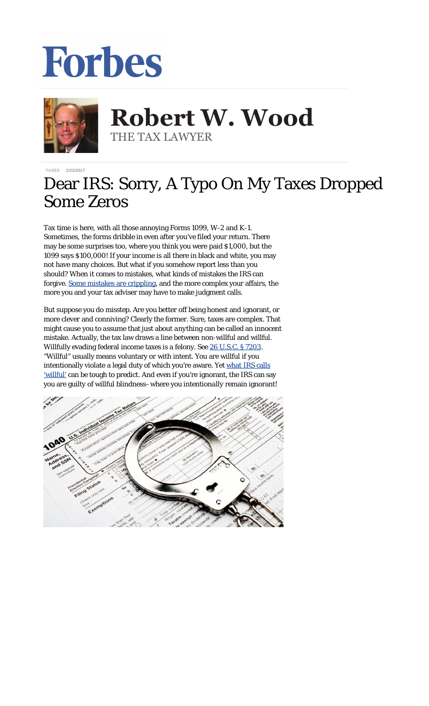## Forbes



**Robert W. Wood Robert W. Wood** THE TAX LAWYER THE TAX LAWYER

**[TAXES](https://www.forbes.com/taxes)** 2/22/2017

## Dear IRS: Sorry, A Typo On My Taxes Dropped Some Zeros

Tax time is here, with all those annoying Forms 1099, W-2 and K-1. Sometimes, the forms dribble in even after you've filed your return. There may be some surprises too, where you *think* you were paid \$1,000, but the 1099 says \$100,000! If your income is all there in black and white, you may not have many choices. But what if you somehow report less than you should? When it comes to mistakes, what kinds of mistakes the IRS can forgive. [Some mistakes are crippling,](http://www.forbes.com/sites/robertwood/2014/01/25/7-crippling-mistakes-with-form-1099-that-cost-big/) and the more complex your affairs, the more you and your tax adviser may have to make judgment calls.

But suppose you do misstep. Are you better off being honest and ignorant, or more clever and conniving? Clearly the former. Sure, taxes are complex. That might cause you to assume that just about *anything* can be called an innocent mistake. Actually, the tax law draws a line between non-willful and willful. Willfully evading federal income taxes is a felony. See [26 U.S.C. § 7203](http://www.law.cornell.edu/uscode/26/usc_sec_26_00007203----000-.html). "Willful" usually means voluntary or with intent. You are willful if you intentionally violate a legal duty of which you're aware. Yet [what IRS calls](http://www.forbes.com/sites/robertwood/2014/12/03/what-irs-calls-willful-even-a-smidgen-can-mean-penalties-or-jail/) ['willful'](http://www.forbes.com/sites/robertwood/2014/12/03/what-irs-calls-willful-even-a-smidgen-can-mean-penalties-or-jail/) can be tough to predict. And even if you're ignorant, the IRS can say you are guilty of willful blindness–where you *intentionally* remain ignorant!

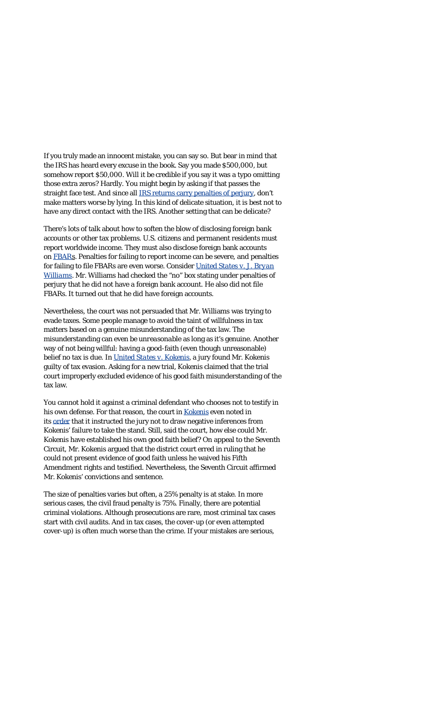If you truly made an innocent mistake, you can say so. But bear in mind that the IRS has heard every excuse in the book. Say you made \$500,000, but somehow report \$50,000. Will it be credible if you say it was a typo omitting those extra zeros? Hardly. You might begin by asking if that passes the straight face test. And since all **[IRS returns carry penalties of perjury](https://www.google.com/url?sa=t&rct=j&q=&esrc=s&source=web&cd=2&cad=rja&uact=8&ved=0ahUKEwjC9cGMg6PSAhWljFQKHRTBA5UQFgggMAE&url=http%3A%2F%2Fwww.forbes.com%2Fsites%2Frobertwood%2F2017%2F02%2F15%2Ffudging-your-taxes-irs-returns-carry-penalties-of-perjury%2F&usg=AFQjCNHmGevIMrohQ1ErMLbGrKGjyxlUEA)**, don't make matters worse by lying. In this kind of delicate situation, it is best not to have any direct contact with the IRS. Another setting that can be delicate?

There's lots of talk about how to soften the blow of disclosing foreign bank accounts or other tax problems. U.S. citizens and permanent residents must report worldwide income. They must also disclose foreign bank accounts on [FBAR](http://www.irs.gov/pub/irs-pdf/f90221.pdf)s. Penalties for failing to report income can be severe, and penalties for failing to file FBARs are even worse. Consider *[United States v. J. Bryan](http://docs.justia.com/cases/federal/district-courts/virginia/vaedce/1:2009cv00437/241710/55/0.pdf) [Williams](http://docs.justia.com/cases/federal/district-courts/virginia/vaedce/1:2009cv00437/241710/55/0.pdf)*. Mr. Williams had checked the "no" box stating under penalties of perjury that he did not have a foreign bank account. He also did not file FBARs. It turned out that he *did* have foreign accounts.

Nevertheless, the court was not persuaded that Mr. Williams was trying to evade taxes. Some people manage to avoid the taint of willfulness in tax matters based on a genuine misunderstanding of the tax law. The misunderstanding can even be *unreasonable* as long as it's genuine. Another way of not being willful: having a good-faith (even though unreasonable) belief no tax is due. In *[United States v. Kokenis](http://www.woodllp.com/Publications/Articles/pdf/kokenis.pdf)*, a jury found Mr. Kokenis guilty of tax evasion. Asking for a new trial, Kokenis claimed that the trial court improperly excluded evidence of his good faith misunderstanding of the tax law.

You cannot hold it against a criminal defendant who chooses not to testify in his own defense. For that reason, the court in *[Kokenis](http://www.woodllp.com/Publications/Articles/pdf/kokenis.pdf)* even noted in its [order](http://www.woodllp.com/Publications/Articles/pdf/kokenis_order.pdf) that it instructed the jury *not* to draw negative inferences from Kokenis' failure to take the stand. Still, said the court, how else could Mr. Kokenis have established his own good faith belief? On appeal to the Seventh Circuit, Mr. Kokenis argued that the district court erred in ruling that he could not present evidence of good faith unless he waived his Fifth Amendment rights and testified. Nevertheless, the Seventh Circuit affirmed Mr. Kokenis' convictions and sentence.

The size of penalties varies but often, a 25% penalty is at stake. In more serious cases, the civil fraud penalty is 75%. Finally, there are potential criminal violations. Although prosecutions are rare, most criminal tax cases start with civil audits. And in tax cases, the cover-up (or even *attempted* cover-up) is often much worse than the crime. If your mistakes are serious,